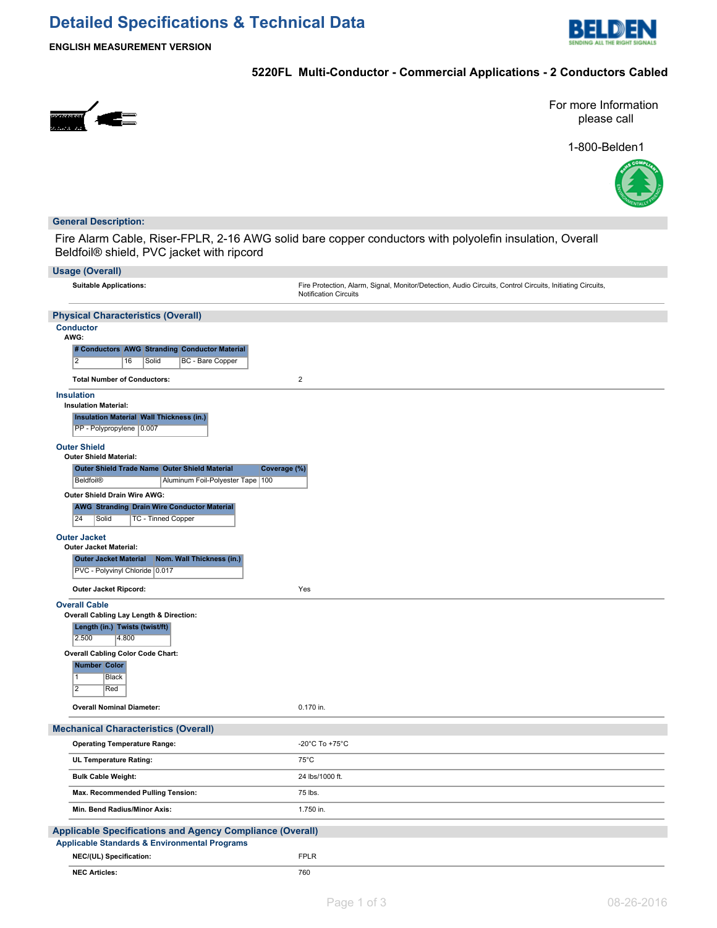# **Detailed Specifications & Technical Data**



**ENGLISH MEASUREMENT VERSION**

## **5220FL Multi-Conductor - Commercial Applications - 2 Conductors Cabled**



For more Information please call

1-800-Belden1



### **General Description:**

Fire Alarm Cable, Riser-FPLR, 2-16 AWG solid bare copper conductors with polyolefin insulation, Overall Beldfoil® shield, PVC jacket with ripcord

| <b>Usage (Overall)</b>                                                                                                       |                                                                                                                                           |  |  |  |  |  |
|------------------------------------------------------------------------------------------------------------------------------|-------------------------------------------------------------------------------------------------------------------------------------------|--|--|--|--|--|
| <b>Suitable Applications:</b>                                                                                                | Fire Protection, Alarm, Signal, Monitor/Detection, Audio Circuits, Control Circuits, Initiating Circuits,<br><b>Notification Circuits</b> |  |  |  |  |  |
| <b>Physical Characteristics (Overall)</b>                                                                                    |                                                                                                                                           |  |  |  |  |  |
| <b>Conductor</b><br>AWG:                                                                                                     |                                                                                                                                           |  |  |  |  |  |
| # Conductors AWG Stranding Conductor Material<br>$\overline{2}$<br>Solid<br>BC - Bare Copper<br>16                           |                                                                                                                                           |  |  |  |  |  |
| <b>Total Number of Conductors:</b>                                                                                           | $\overline{2}$                                                                                                                            |  |  |  |  |  |
| <b>Insulation</b><br><b>Insulation Material:</b>                                                                             |                                                                                                                                           |  |  |  |  |  |
| <b>Insulation Material Wall Thickness (in.)</b><br>PP - Polypropylene 0.007                                                  |                                                                                                                                           |  |  |  |  |  |
| <b>Outer Shield</b><br><b>Outer Shield Material:</b>                                                                         |                                                                                                                                           |  |  |  |  |  |
| Outer Shield Trade Name Outer Shield Material<br>Coverage (%)                                                                |                                                                                                                                           |  |  |  |  |  |
| Beldfoil <sup>®</sup><br>Aluminum Foil-Polyester Tape 100                                                                    |                                                                                                                                           |  |  |  |  |  |
| Outer Shield Drain Wire AWG:<br><b>AWG Stranding Drain Wire Conductor Material</b><br> 24<br>TC - Tinned Copper<br>Solid     |                                                                                                                                           |  |  |  |  |  |
| <b>Outer Jacket</b>                                                                                                          |                                                                                                                                           |  |  |  |  |  |
| <b>Outer Jacket Material:</b>                                                                                                |                                                                                                                                           |  |  |  |  |  |
| Nom. Wall Thickness (in.)<br><b>Outer Jacket Material</b><br>PVC - Polyvinyl Chloride 0.017                                  |                                                                                                                                           |  |  |  |  |  |
| Outer Jacket Ripcord:                                                                                                        | Yes                                                                                                                                       |  |  |  |  |  |
| <b>Overall Cable</b><br>Overall Cabling Lay Length & Direction:<br>Length (in.) Twists (twist/ft)<br>2.500<br>4.800          |                                                                                                                                           |  |  |  |  |  |
| <b>Overall Cabling Color Code Chart:</b>                                                                                     |                                                                                                                                           |  |  |  |  |  |
| <b>Number Color</b><br>1<br>Black<br>$\overline{2}$<br>Red                                                                   |                                                                                                                                           |  |  |  |  |  |
| <b>Overall Nominal Diameter:</b>                                                                                             | 0.170 in.                                                                                                                                 |  |  |  |  |  |
| <b>Mechanical Characteristics (Overall)</b>                                                                                  |                                                                                                                                           |  |  |  |  |  |
| <b>Operating Temperature Range:</b>                                                                                          | -20°C To +75°C                                                                                                                            |  |  |  |  |  |
| UL Temperature Rating:                                                                                                       | $75^{\circ}$ C                                                                                                                            |  |  |  |  |  |
| <b>Bulk Cable Weight:</b>                                                                                                    | 24 lbs/1000 ft.                                                                                                                           |  |  |  |  |  |
| Max. Recommended Pulling Tension:                                                                                            | 75 lbs.                                                                                                                                   |  |  |  |  |  |
| Min. Bend Radius/Minor Axis:                                                                                                 | 1.750 in.                                                                                                                                 |  |  |  |  |  |
| <b>Applicable Specifications and Agency Compliance (Overall)</b><br><b>Applicable Standards &amp; Environmental Programs</b> |                                                                                                                                           |  |  |  |  |  |
| NEC/(UL) Specification:                                                                                                      | <b>FPLR</b>                                                                                                                               |  |  |  |  |  |
| <b>NEC Articles:</b>                                                                                                         | 760                                                                                                                                       |  |  |  |  |  |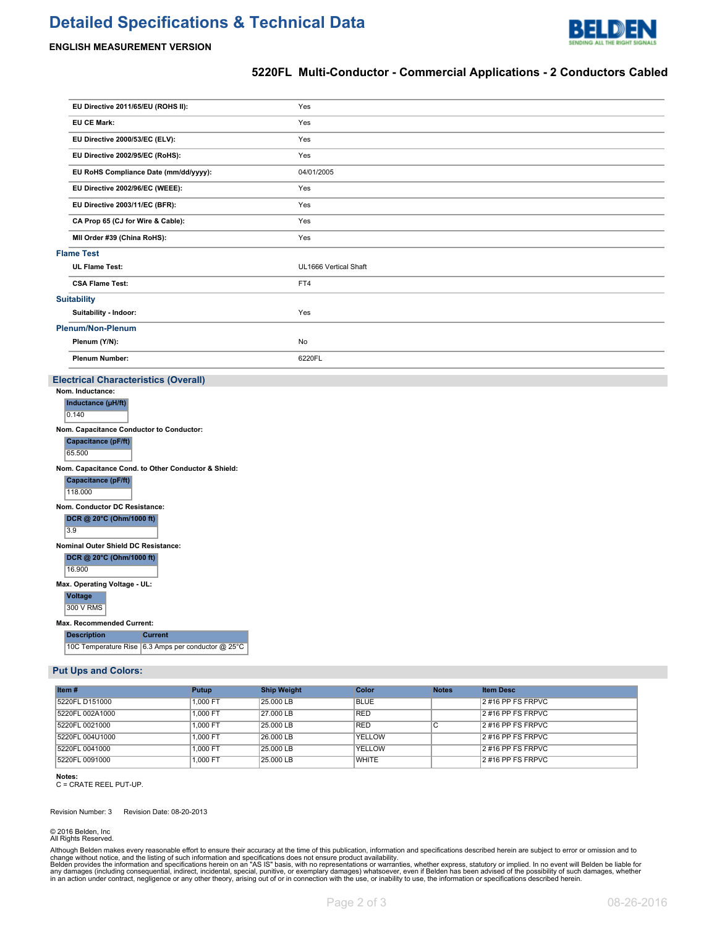# **Detailed Specifications & Technical Data**



#### **ENGLISH MEASUREMENT VERSION**

### **5220FL Multi-Conductor - Commercial Applications - 2 Conductors Cabled**

|                   | EU Directive 2011/65/EU (ROHS II):    | Yes                   |  |
|-------------------|---------------------------------------|-----------------------|--|
|                   | <b>EU CE Mark:</b>                    | Yes                   |  |
|                   | EU Directive 2000/53/EC (ELV):        | Yes                   |  |
|                   | EU Directive 2002/95/EC (RoHS):       | Yes                   |  |
|                   | EU RoHS Compliance Date (mm/dd/yyyy): | 04/01/2005            |  |
|                   | EU Directive 2002/96/EC (WEEE):       | Yes                   |  |
|                   | EU Directive 2003/11/EC (BFR):        | Yes                   |  |
|                   | CA Prop 65 (CJ for Wire & Cable):     | Yes                   |  |
|                   | MII Order #39 (China RoHS):           | Yes                   |  |
| <b>Flame Test</b> |                                       |                       |  |
|                   | <b>UL Flame Test:</b>                 | UL1666 Vertical Shaft |  |
|                   | <b>CSA Flame Test:</b>                | FT4                   |  |
|                   | <b>Suitability</b>                    |                       |  |
|                   | Suitability - Indoor:                 | Yes                   |  |
|                   | <b>Plenum/Non-Plenum</b>              |                       |  |
|                   | Plenum (Y/N):                         | No                    |  |
|                   | <b>Plenum Number:</b>                 | 6220FL                |  |

#### **Electrical Characteristics (Overall)**

|                                                     | Nom. Inductance:                         |                                                    |  |  |  |  |  |  |
|-----------------------------------------------------|------------------------------------------|----------------------------------------------------|--|--|--|--|--|--|
|                                                     | Inductance (µH/ft)                       |                                                    |  |  |  |  |  |  |
|                                                     | 0.140                                    |                                                    |  |  |  |  |  |  |
|                                                     | Nom. Capacitance Conductor to Conductor: |                                                    |  |  |  |  |  |  |
|                                                     | Capacitance (pF/ft)                      |                                                    |  |  |  |  |  |  |
|                                                     | 65.500                                   |                                                    |  |  |  |  |  |  |
| Nom. Capacitance Cond. to Other Conductor & Shield: |                                          |                                                    |  |  |  |  |  |  |
|                                                     | Capacitance (pF/ft)                      |                                                    |  |  |  |  |  |  |
|                                                     | 118.000                                  |                                                    |  |  |  |  |  |  |
|                                                     | Nom. Conductor DC Resistance:            |                                                    |  |  |  |  |  |  |
|                                                     | DCR @ 20°C (Ohm/1000 ft)                 |                                                    |  |  |  |  |  |  |
|                                                     | 3.9                                      |                                                    |  |  |  |  |  |  |
|                                                     | Nominal Outer Shield DC Resistance:      |                                                    |  |  |  |  |  |  |
|                                                     | DCR @ 20°C (Ohm/1000 ft)                 |                                                    |  |  |  |  |  |  |
|                                                     | 16.900                                   |                                                    |  |  |  |  |  |  |
|                                                     | Max. Operating Voltage - UL:             |                                                    |  |  |  |  |  |  |
|                                                     | <b>Voltage</b>                           |                                                    |  |  |  |  |  |  |
|                                                     | 300 V RMS                                |                                                    |  |  |  |  |  |  |
| <b>Max. Recommended Current:</b>                    |                                          |                                                    |  |  |  |  |  |  |
|                                                     | <b>Description</b>                       | <b>Current</b>                                     |  |  |  |  |  |  |
|                                                     |                                          | 10C Temperature Rise 6.3 Amps per conductor @ 25°C |  |  |  |  |  |  |

#### **Put Ups and Colors:**

| Item#           | Putup    | <b>Ship Weight</b> | Color        | <b>Notes</b> | <b>Item Desc</b>     |
|-----------------|----------|--------------------|--------------|--------------|----------------------|
| 5220FL D151000  | 1.000 FT | 25.000 LB          | <b>BLUE</b>  |              | 2 #16 PP FS FRPVC    |
| 5220FL 002A1000 | 1.000 FT | 27.000 LB          | <b>RED</b>   |              | 2 #16 PP FS FRPVC    |
| 5220FL 0021000  | 1.000 FT | 25,000 LB          | <b>RED</b>   | U            | $2$ #16 PP FS FRPVC  |
| 5220FL 004U1000 | 1.000 FT | 26,000 LB          | YELLOW       |              | $12$ #16 PP FS FRPVC |
| 5220FL 0041000  | 1.000 FT | 25.000 LB          | YELLOW       |              | $2$ #16 PP FS FRPVC  |
| 5220FL 0091000  | 1.000 FT | 25,000 LB          | <b>WHITE</b> |              | $2$ #16 PP FS FRPVC  |

**Notes:**

C = CRATE REEL PUT-UP.

Revision Number: 3 Revision Date: 08-20-2013

© 2016 Belden, Inc All Rights Reserved.

Although Belden makes every reasonable effort to ensure their accuracy at the time of this publication, information and specifications described herein are subject to error or omission and to<br>change without noice, and the